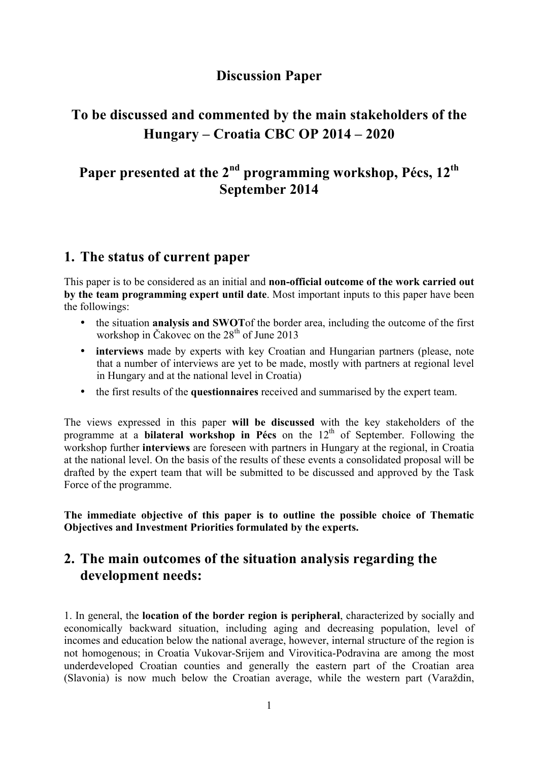## **Discussion Paper**

# **To be discussed and commented by the main stakeholders of the Hungary – Croatia CBC OP 2014 – 2020**

# **Paper presented at the 2nd programming workshop, Pécs, 12th September 2014**

### **1. The status of current paper**

This paper is to be considered as an initial and **non-official outcome of the work carried out by the team programming expert until date**. Most important inputs to this paper have been the followings:

- the situation **analysis and SWOT**of the border area, including the outcome of the first workshop in Čakovec on the 28<sup>th</sup> of June 2013
- **interviews** made by experts with key Croatian and Hungarian partners (please, note that a number of interviews are yet to be made, mostly with partners at regional level in Hungary and at the national level in Croatia)
- the first results of the **questionnaires** received and summarised by the expert team.

The views expressed in this paper **will be discussed** with the key stakeholders of the programme at a **bilateral workshop in Pécs** on the 12<sup>th</sup> of September. Following the workshop further **interviews** are foreseen with partners in Hungary at the regional, in Croatia at the national level. On the basis of the results of these events a consolidated proposal will be drafted by the expert team that will be submitted to be discussed and approved by the Task Force of the programme.

**The immediate objective of this paper is to outline the possible choice of Thematic Objectives and Investment Priorities formulated by the experts.** 

## **2. The main outcomes of the situation analysis regarding the development needs:**

1. In general, the **location of the border region is peripheral**, characterized by socially and economically backward situation, including aging and decreasing population, level of incomes and education below the national average, however, internal structure of the region is not homogenous; in Croatia Vukovar-Srijem and Virovitica-Podravina are among the most underdeveloped Croatian counties and generally the eastern part of the Croatian area (Slavonia) is now much below the Croatian average, while the western part (Varaždin,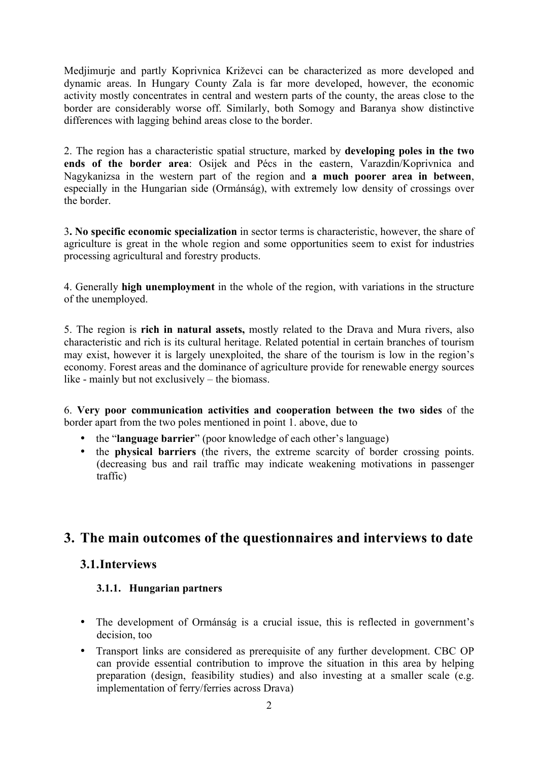Medjimurje and partly Koprivnica Križevci can be characterized as more developed and dynamic areas. In Hungary County Zala is far more developed, however, the economic activity mostly concentrates in central and western parts of the county, the areas close to the border are considerably worse off. Similarly, both Somogy and Baranya show distinctive differences with lagging behind areas close to the border.

2. The region has a characteristic spatial structure, marked by **developing poles in the two ends of the border area**: Osijek and Pécs in the eastern, Varazdin/Koprivnica and Nagykanizsa in the western part of the region and **a much poorer area in between**, especially in the Hungarian side (Ormánság), with extremely low density of crossings over the border.

3**. No specific economic specialization** in sector terms is characteristic, however, the share of agriculture is great in the whole region and some opportunities seem to exist for industries processing agricultural and forestry products.

4. Generally **high unemployment** in the whole of the region, with variations in the structure of the unemployed.

5. The region is **rich in natural assets,** mostly related to the Drava and Mura rivers, also characteristic and rich is its cultural heritage. Related potential in certain branches of tourism may exist, however it is largely unexploited, the share of the tourism is low in the region's economy. Forest areas and the dominance of agriculture provide for renewable energy sources like - mainly but not exclusively – the biomass.

6. **Very poor communication activities and cooperation between the two sides** of the border apart from the two poles mentioned in point 1. above, due to

- the "**language barrier**" (poor knowledge of each other's language)
- the **physical barriers** (the rivers, the extreme scarcity of border crossing points. (decreasing bus and rail traffic may indicate weakening motivations in passenger traffic)

# **3. The main outcomes of the questionnaires and interviews to date**

#### **3.1.Interviews**

#### **3.1.1. Hungarian partners**

- The development of Ormánság is a crucial issue, this is reflected in government's decision, too
- Transport links are considered as prerequisite of any further development. CBC OP can provide essential contribution to improve the situation in this area by helping preparation (design, feasibility studies) and also investing at a smaller scale (e.g. implementation of ferry/ferries across Drava)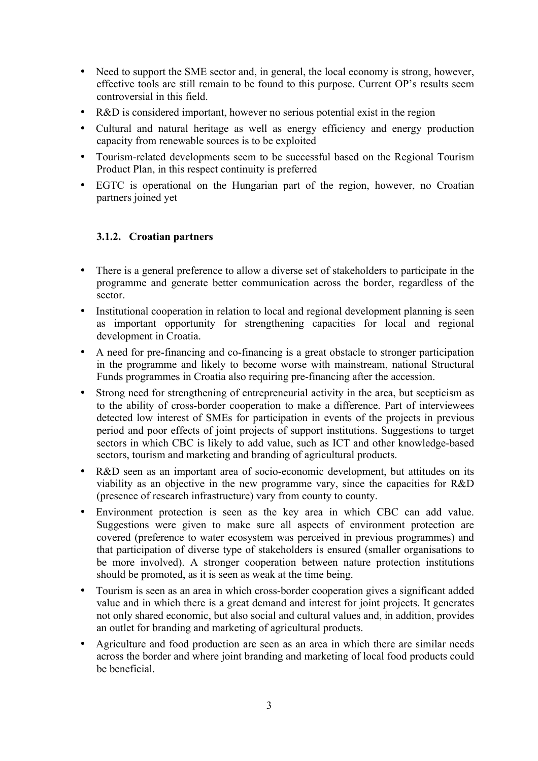- Need to support the SME sector and, in general, the local economy is strong, however, effective tools are still remain to be found to this purpose. Current OP's results seem controversial in this field.
- R&D is considered important, however no serious potential exist in the region
- Cultural and natural heritage as well as energy efficiency and energy production capacity from renewable sources is to be exploited
- Tourism-related developments seem to be successful based on the Regional Tourism Product Plan, in this respect continuity is preferred
- EGTC is operational on the Hungarian part of the region, however, no Croatian partners joined yet

#### **3.1.2. Croatian partners**

- There is a general preference to allow a diverse set of stakeholders to participate in the programme and generate better communication across the border, regardless of the sector.
- Institutional cooperation in relation to local and regional development planning is seen as important opportunity for strengthening capacities for local and regional development in Croatia.
- A need for pre-financing and co-financing is a great obstacle to stronger participation in the programme and likely to become worse with mainstream, national Structural Funds programmes in Croatia also requiring pre-financing after the accession.
- Strong need for strengthening of entrepreneurial activity in the area, but scepticism as to the ability of cross-border cooperation to make a difference. Part of interviewees detected low interest of SMEs for participation in events of the projects in previous period and poor effects of joint projects of support institutions. Suggestions to target sectors in which CBC is likely to add value, such as ICT and other knowledge-based sectors, tourism and marketing and branding of agricultural products.
- R&D seen as an important area of socio-economic development, but attitudes on its viability as an objective in the new programme vary, since the capacities for R&D (presence of research infrastructure) vary from county to county.
- Environment protection is seen as the key area in which CBC can add value. Suggestions were given to make sure all aspects of environment protection are covered (preference to water ecosystem was perceived in previous programmes) and that participation of diverse type of stakeholders is ensured (smaller organisations to be more involved). A stronger cooperation between nature protection institutions should be promoted, as it is seen as weak at the time being.
- Tourism is seen as an area in which cross-border cooperation gives a significant added value and in which there is a great demand and interest for joint projects. It generates not only shared economic, but also social and cultural values and, in addition, provides an outlet for branding and marketing of agricultural products.
- Agriculture and food production are seen as an area in which there are similar needs across the border and where joint branding and marketing of local food products could be beneficial.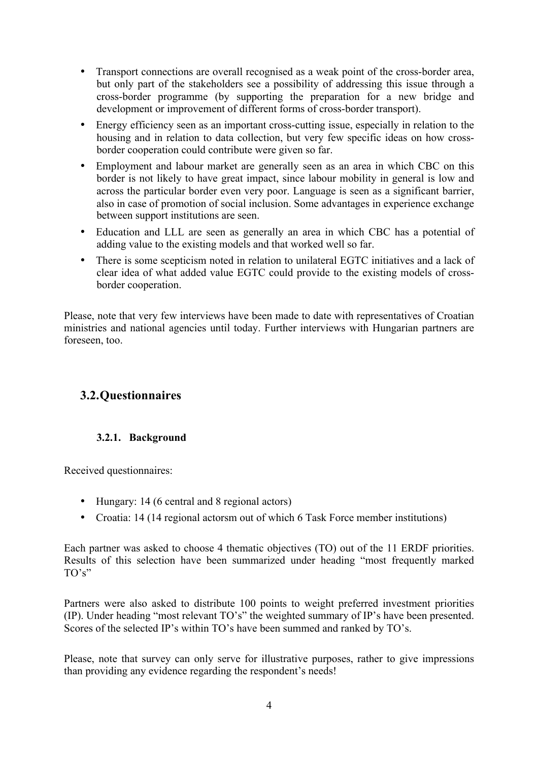- Transport connections are overall recognised as a weak point of the cross-border area, but only part of the stakeholders see a possibility of addressing this issue through a cross-border programme (by supporting the preparation for a new bridge and development or improvement of different forms of cross-border transport).
- Energy efficiency seen as an important cross-cutting issue, especially in relation to the housing and in relation to data collection, but very few specific ideas on how crossborder cooperation could contribute were given so far.
- Employment and labour market are generally seen as an area in which CBC on this border is not likely to have great impact, since labour mobility in general is low and across the particular border even very poor. Language is seen as a significant barrier, also in case of promotion of social inclusion. Some advantages in experience exchange between support institutions are seen.
- Education and LLL are seen as generally an area in which CBC has a potential of adding value to the existing models and that worked well so far.
- There is some scepticism noted in relation to unilateral EGTC initiatives and a lack of clear idea of what added value EGTC could provide to the existing models of crossborder cooperation.

Please, note that very few interviews have been made to date with representatives of Croatian ministries and national agencies until today. Further interviews with Hungarian partners are foreseen, too.

## **3.2.Questionnaires**

#### **3.2.1. Background**

Received questionnaires:

- Hungary: 14 (6 central and 8 regional actors)
- Croatia: 14 (14 regional actorsm out of which 6 Task Force member institutions)

Each partner was asked to choose 4 thematic objectives (TO) out of the 11 ERDF priorities. Results of this selection have been summarized under heading "most frequently marked  $TO's"$ 

Partners were also asked to distribute 100 points to weight preferred investment priorities (IP). Under heading "most relevant TO's" the weighted summary of IP's have been presented. Scores of the selected IP's within TO's have been summed and ranked by TO's.

Please, note that survey can only serve for illustrative purposes, rather to give impressions than providing any evidence regarding the respondent's needs!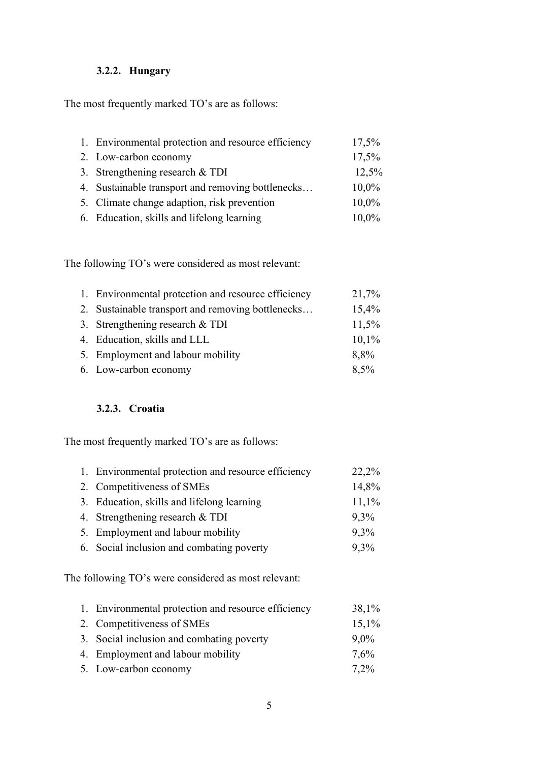#### **3.2.2. Hungary**

The most frequently marked TO's are as follows:

| 1. Environmental protection and resource efficiency | 17,5% |
|-----------------------------------------------------|-------|
| 2. Low-carbon economy                               | 17,5% |
| 3. Strengthening research $&TDI$                    | 12,5% |
| 4. Sustainable transport and removing bottlenecks   | 10,0% |
| 5. Climate change adaption, risk prevention         | 10,0% |
| 6. Education, skills and lifelong learning          | 10,0% |

The following TO's were considered as most relevant:

| 1. Environmental protection and resource efficiency | 21,7%    |
|-----------------------------------------------------|----------|
| 2. Sustainable transport and removing bottlenecks   | 15,4%    |
| 3. Strengthening research $&TDI$                    | 11,5%    |
| 4. Education, skills and LLL                        | $10,1\%$ |
| 5. Employment and labour mobility                   | 8,8%     |
| 6. Low-carbon economy                               | 8,5%     |

#### **3.2.3. Croatia**

The most frequently marked TO's are as follows:

| 1. Environmental protection and resource efficiency | 22,2% |
|-----------------------------------------------------|-------|
| 2. Competitiveness of SMEs                          | 14,8% |
| 3. Education, skills and lifelong learning          | 11,1% |
| 4. Strengthening research $&TDI$                    | 9,3%  |
| 5. Employment and labour mobility                   | 9,3%  |
| 6. Social inclusion and combating poverty           | 9,3%  |

The following TO's were considered as most relevant:

| 1. Environmental protection and resource efficiency | 38,1%   |
|-----------------------------------------------------|---------|
| 2. Competitiveness of SMEs                          | 15,1%   |
| 3. Social inclusion and combating poverty           | $9.0\%$ |
| 4. Employment and labour mobility                   | 7,6%    |
| 5. Low-carbon economy                               | 7,2%    |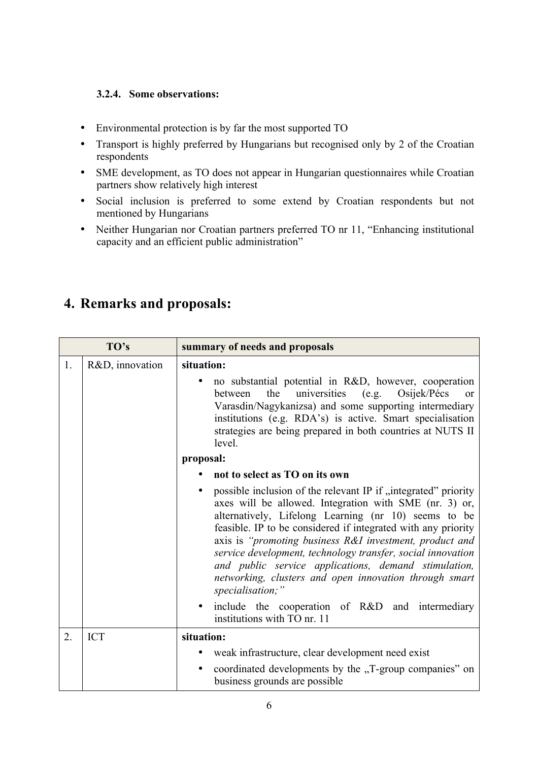#### **3.2.4. Some observations:**

- Environmental protection is by far the most supported TO
- Transport is highly preferred by Hungarians but recognised only by 2 of the Croatian respondents
- SME development, as TO does not appear in Hungarian questionnaires while Croatian partners show relatively high interest
- Social inclusion is preferred to some extend by Croatian respondents but not mentioned by Hungarians
- Neither Hungarian nor Croatian partners preferred TO nr 11, "Enhancing institutional capacity and an efficient public administration"

| TO's |                 | summary of needs and proposals                                                                                                                                                                                                                                                                                                                                                                                                                                                                                    |
|------|-----------------|-------------------------------------------------------------------------------------------------------------------------------------------------------------------------------------------------------------------------------------------------------------------------------------------------------------------------------------------------------------------------------------------------------------------------------------------------------------------------------------------------------------------|
| 1.   | R&D, innovation | situation:                                                                                                                                                                                                                                                                                                                                                                                                                                                                                                        |
|      |                 | no substantial potential in R&D, however, cooperation<br>Osijek/Pécs<br>the<br>universities<br>(e.g.<br>between<br>$\alpha$<br>Varasdin/Nagykanizsa) and some supporting intermediary<br>institutions (e.g. RDA's) is active. Smart specialisation<br>strategies are being prepared in both countries at NUTS II<br>level.                                                                                                                                                                                        |
|      |                 | proposal:                                                                                                                                                                                                                                                                                                                                                                                                                                                                                                         |
|      |                 | not to select as TO on its own                                                                                                                                                                                                                                                                                                                                                                                                                                                                                    |
|      |                 | possible inclusion of the relevant IP if "integrated" priority<br>axes will be allowed. Integration with SME (nr. 3) or,<br>alternatively, Lifelong Learning (nr 10) seems to be<br>feasible. IP to be considered if integrated with any priority<br>axis is "promoting business R&I investment, product and<br>service development, technology transfer, social innovation<br>and public service applications, demand stimulation,<br>networking, clusters and open innovation through smart<br>specialisation;" |
|      |                 | include the cooperation of R&D and intermediary<br>institutions with TO nr. 11                                                                                                                                                                                                                                                                                                                                                                                                                                    |
| 2.   | <b>ICT</b>      | situation:                                                                                                                                                                                                                                                                                                                                                                                                                                                                                                        |
|      |                 | weak infrastructure, clear development need exist                                                                                                                                                                                                                                                                                                                                                                                                                                                                 |
|      |                 | coordinated developments by the "T-group companies" on<br>business grounds are possible                                                                                                                                                                                                                                                                                                                                                                                                                           |

# **4. Remarks and proposals:**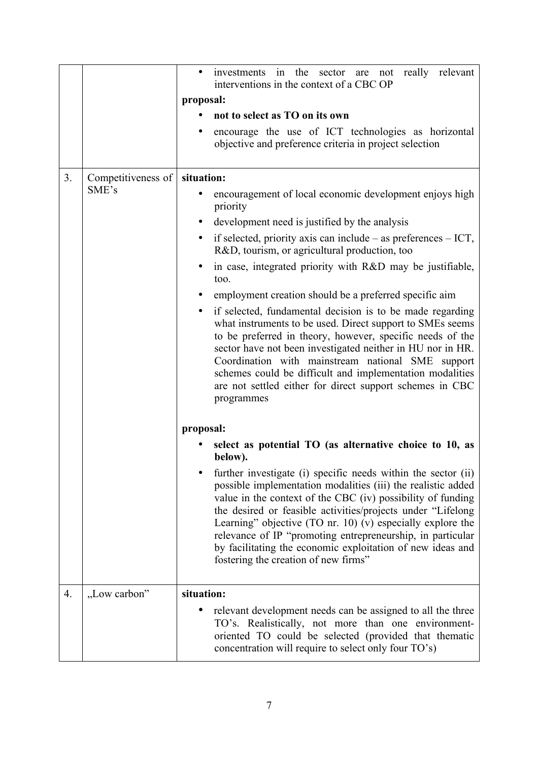|    |                    | investments in the sector are not<br>really relevant<br>interventions in the context of a CBC OP                                                                                                                                                                                                                                                                                                                                                                                                                                                                                |  |
|----|--------------------|---------------------------------------------------------------------------------------------------------------------------------------------------------------------------------------------------------------------------------------------------------------------------------------------------------------------------------------------------------------------------------------------------------------------------------------------------------------------------------------------------------------------------------------------------------------------------------|--|
|    |                    | proposal:                                                                                                                                                                                                                                                                                                                                                                                                                                                                                                                                                                       |  |
|    |                    | not to select as TO on its own                                                                                                                                                                                                                                                                                                                                                                                                                                                                                                                                                  |  |
|    |                    | encourage the use of ICT technologies as horizontal<br>objective and preference criteria in project selection                                                                                                                                                                                                                                                                                                                                                                                                                                                                   |  |
| 3. | Competitiveness of | situation:                                                                                                                                                                                                                                                                                                                                                                                                                                                                                                                                                                      |  |
|    | SME's              | encouragement of local economic development enjoys high<br>priority                                                                                                                                                                                                                                                                                                                                                                                                                                                                                                             |  |
|    |                    | development need is justified by the analysis                                                                                                                                                                                                                                                                                                                                                                                                                                                                                                                                   |  |
|    |                    | if selected, priority axis can include $-$ as preferences $-$ ICT,<br>٠<br>R&D, tourism, or agricultural production, too                                                                                                                                                                                                                                                                                                                                                                                                                                                        |  |
|    |                    | in case, integrated priority with R&D may be justifiable,<br>too.                                                                                                                                                                                                                                                                                                                                                                                                                                                                                                               |  |
|    |                    | employment creation should be a preferred specific aim<br>٠                                                                                                                                                                                                                                                                                                                                                                                                                                                                                                                     |  |
|    |                    | if selected, fundamental decision is to be made regarding<br>$\bullet$<br>what instruments to be used. Direct support to SMEs seems<br>to be preferred in theory, however, specific needs of the<br>sector have not been investigated neither in HU nor in HR.<br>Coordination with mainstream national SME support<br>schemes could be difficult and implementation modalities<br>are not settled either for direct support schemes in CBC<br>programmes                                                                                                                       |  |
|    |                    | proposal:                                                                                                                                                                                                                                                                                                                                                                                                                                                                                                                                                                       |  |
|    |                    | select as potential TO (as alternative choice to 10, as<br>below).<br>further investigate (i) specific needs within the sector (ii)<br>possible implementation modalities (iii) the realistic added<br>value in the context of the CBC (iv) possibility of funding<br>the desired or feasible activities/projects under "Lifelong"<br>Learning" objective $(TO \text{ nr. } 10)$ (v) especially explore the<br>relevance of IP "promoting entrepreneurship, in particular<br>by facilitating the economic exploitation of new ideas and<br>fostering the creation of new firms" |  |
| 4. | "Low carbon"       | situation:<br>relevant development needs can be assigned to all the three<br>TO's. Realistically, not more than one environment-<br>oriented TO could be selected (provided that thematic<br>concentration will require to select only four TO's)                                                                                                                                                                                                                                                                                                                               |  |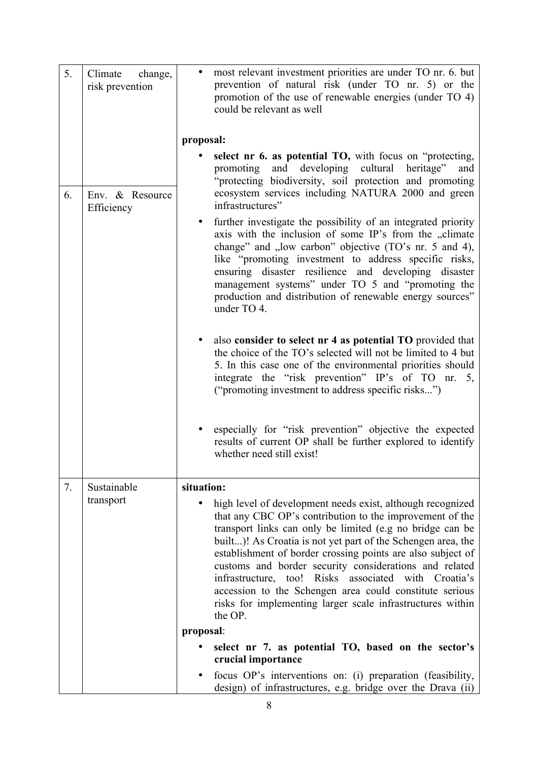| 5. | change,<br>Climate<br>risk prevention | most relevant investment priorities are under TO nr. 6. but<br>prevention of natural risk (under TO nr. 5) or the<br>promotion of the use of renewable energies (under TO 4)<br>could be relevant as well                                                                                                                                                                                                                                                                                                                                                                |
|----|---------------------------------------|--------------------------------------------------------------------------------------------------------------------------------------------------------------------------------------------------------------------------------------------------------------------------------------------------------------------------------------------------------------------------------------------------------------------------------------------------------------------------------------------------------------------------------------------------------------------------|
|    |                                       | proposal:                                                                                                                                                                                                                                                                                                                                                                                                                                                                                                                                                                |
| 6. | Env. & Resource<br>Efficiency         | select nr 6. as potential TO, with focus on "protecting,<br>and developing cultural<br>heritage"<br>promoting<br>and<br>"protecting biodiversity, soil protection and promoting<br>ecosystem services including NATURA 2000 and green<br>infrastructures"                                                                                                                                                                                                                                                                                                                |
|    |                                       | further investigate the possibility of an integrated priority<br>axis with the inclusion of some IP's from the "climate<br>change" and "low carbon" objective (TO's nr. 5 and 4),<br>like "promoting investment to address specific risks,<br>ensuring disaster resilience and developing disaster<br>management systems" under TO 5 and "promoting the<br>production and distribution of renewable energy sources"<br>under TO 4.                                                                                                                                       |
|    |                                       | also consider to select nr 4 as potential TO provided that<br>$\bullet$<br>the choice of the TO's selected will not be limited to 4 but<br>5. In this case one of the environmental priorities should<br>integrate the "risk prevention" IP's of TO nr. 5,<br>("promoting investment to address specific risks")                                                                                                                                                                                                                                                         |
|    |                                       | especially for "risk prevention" objective the expected<br>results of current OP shall be further explored to identify<br>whether need still exist!                                                                                                                                                                                                                                                                                                                                                                                                                      |
| 7. | Sustainable                           | situation:                                                                                                                                                                                                                                                                                                                                                                                                                                                                                                                                                               |
|    | transport                             | high level of development needs exist, although recognized<br>that any CBC OP's contribution to the improvement of the<br>transport links can only be limited (e.g no bridge can be<br>built)! As Croatia is not yet part of the Schengen area, the<br>establishment of border crossing points are also subject of<br>customs and border security considerations and related<br>infrastructure, too! Risks associated with Croatia's<br>accession to the Schengen area could constitute serious<br>risks for implementing larger scale infrastructures within<br>the OP. |
|    |                                       | proposal:                                                                                                                                                                                                                                                                                                                                                                                                                                                                                                                                                                |
|    |                                       | select nr 7. as potential TO, based on the sector's<br>crucial importance                                                                                                                                                                                                                                                                                                                                                                                                                                                                                                |
|    |                                       | focus OP's interventions on: (i) preparation (feasibility,<br>design) of infrastructures, e.g. bridge over the Drava (ii)                                                                                                                                                                                                                                                                                                                                                                                                                                                |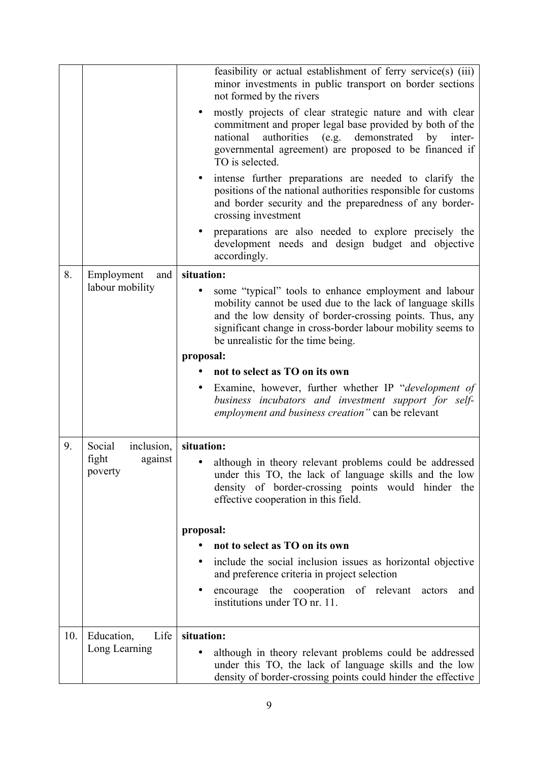|     |                             | feasibility or actual establishment of ferry service(s) (iii)<br>minor investments in public transport on border sections<br>not formed by the rivers                                                                                                                                |
|-----|-----------------------------|--------------------------------------------------------------------------------------------------------------------------------------------------------------------------------------------------------------------------------------------------------------------------------------|
|     |                             | mostly projects of clear strategic nature and with clear<br>commitment and proper legal base provided by both of the<br>authorities (e.g. demonstrated by<br>national<br>inter-<br>governmental agreement) are proposed to be financed if<br>TO is selected.                         |
|     |                             | intense further preparations are needed to clarify the<br>positions of the national authorities responsible for customs<br>and border security and the preparedness of any border-<br>crossing investment                                                                            |
|     |                             | preparations are also needed to explore precisely the<br>development needs and design budget and objective<br>accordingly.                                                                                                                                                           |
| 8.  | Employment<br>and           | situation:                                                                                                                                                                                                                                                                           |
|     | labour mobility             | some "typical" tools to enhance employment and labour<br>mobility cannot be used due to the lack of language skills<br>and the low density of border-crossing points. Thus, any<br>significant change in cross-border labour mobility seems to<br>be unrealistic for the time being. |
|     |                             | proposal:                                                                                                                                                                                                                                                                            |
|     |                             | not to select as TO on its own                                                                                                                                                                                                                                                       |
|     |                             | Examine, however, further whether IP "development of<br>business incubators and investment support for self-<br><i>employment and business creation</i> " can be relevant                                                                                                            |
| 9.  | Social<br>inclusion,        | situation:                                                                                                                                                                                                                                                                           |
|     | fight<br>against<br>poverty | although in theory relevant problems could be addressed<br>under this TO, the lack of language skills and the low<br>density of border-crossing points would hinder the<br>effective cooperation in this field.                                                                      |
|     |                             | proposal:                                                                                                                                                                                                                                                                            |
|     |                             | not to select as TO on its own                                                                                                                                                                                                                                                       |
|     |                             | include the social inclusion issues as horizontal objective<br>and preference criteria in project selection                                                                                                                                                                          |
|     |                             | encourage the cooperation of relevant actors<br>and<br>institutions under TO nr. 11.                                                                                                                                                                                                 |
| 10. | Life<br>Education,          | situation:                                                                                                                                                                                                                                                                           |
|     | Long Learning               | although in theory relevant problems could be addressed<br>under this TO, the lack of language skills and the low<br>density of border-crossing points could hinder the effective                                                                                                    |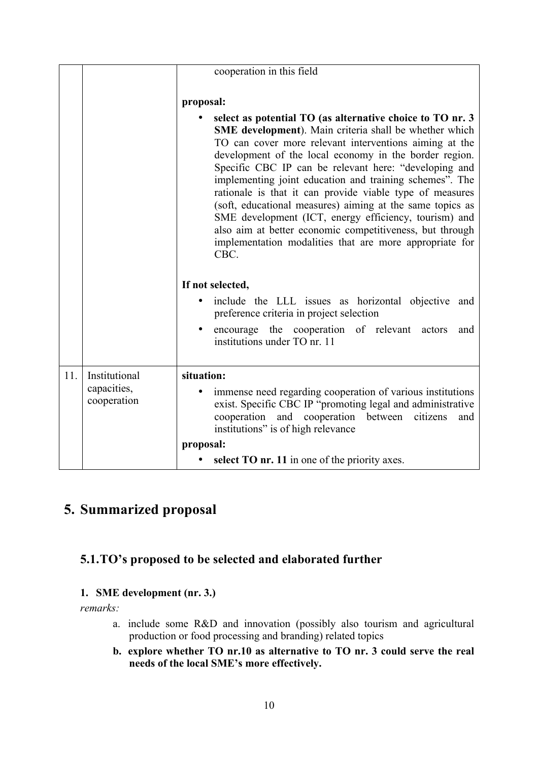|     |                                             | cooperation in this field                                                                                                                                                                                                                                                                                                                                                                                                                                                                                                                                                                                                                                                                  |
|-----|---------------------------------------------|--------------------------------------------------------------------------------------------------------------------------------------------------------------------------------------------------------------------------------------------------------------------------------------------------------------------------------------------------------------------------------------------------------------------------------------------------------------------------------------------------------------------------------------------------------------------------------------------------------------------------------------------------------------------------------------------|
|     |                                             | proposal:<br>select as potential TO (as alternative choice to TO nr. 3)<br>SME development). Main criteria shall be whether which<br>TO can cover more relevant interventions aiming at the<br>development of the local economy in the border region.<br>Specific CBC IP can be relevant here: "developing and<br>implementing joint education and training schemes". The<br>rationale is that it can provide viable type of measures<br>(soft, educational measures) aiming at the same topics as<br>SME development (ICT, energy efficiency, tourism) and<br>also aim at better economic competitiveness, but through<br>implementation modalities that are more appropriate for<br>CBC. |
|     |                                             | If not selected,<br>include the LLL issues as horizontal objective<br>and<br>preference criteria in project selection<br>encourage the cooperation of relevant<br>actors<br>and<br>institutions under TO nr. 11                                                                                                                                                                                                                                                                                                                                                                                                                                                                            |
| 11. | Institutional<br>capacities,<br>cooperation | situation:<br>immense need regarding cooperation of various institutions<br>exist. Specific CBC IP "promoting legal and administrative<br>cooperation and cooperation between citizens<br>and<br>institutions" is of high relevance<br>proposal:<br>select TO nr. 11 in one of the priority axes.                                                                                                                                                                                                                                                                                                                                                                                          |

# **5. Summarized proposal**

## **5.1.TO's proposed to be selected and elaborated further**

#### **1. SME development (nr. 3.)**

*remarks:*

- a. include some R&D and innovation (possibly also tourism and agricultural production or food processing and branding) related topics
- **b. explore whether TO nr.10 as alternative to TO nr. 3 could serve the real needs of the local SME's more effectively.**